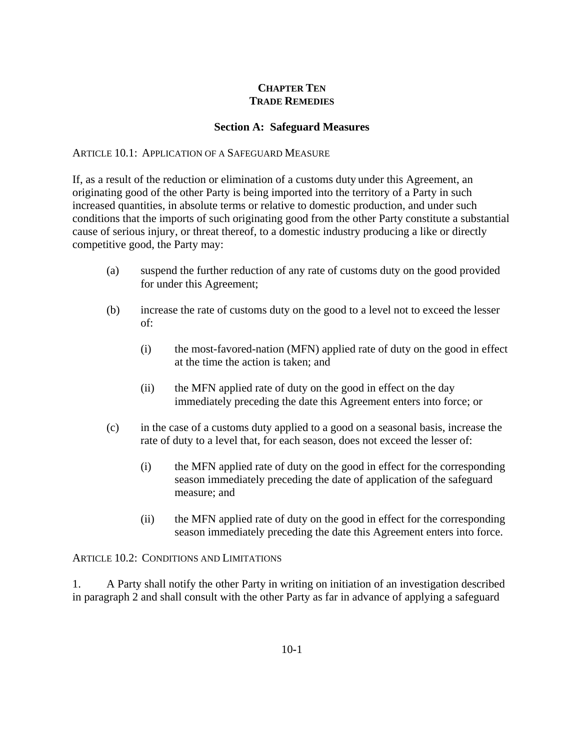# **CHAPTER TEN TRADE REMEDIES**

#### **Section A: Safeguard Measures**

#### ARTICLE 10.1: APPLICATION OF A SAFEGUARD MEASURE

If, as a result of the reduction or elimination of a customs duty under this Agreement, an originating good of the other Party is being imported into the territory of a Party in such increased quantities, in absolute terms or relative to domestic production, and under such conditions that the imports of such originating good from the other Party constitute a substantial cause of serious injury, or threat thereof, to a domestic industry producing a like or directly competitive good, the Party may:

- (a) suspend the further reduction of any rate of customs duty on the good provided for under this Agreement;
- (b) increase the rate of customs duty on the good to a level not to exceed the lesser of:
	- (i) the most-favored-nation (MFN) applied rate of duty on the good in effect at the time the action is taken; and
	- (ii) the MFN applied rate of duty on the good in effect on the day immediately preceding the date this Agreement enters into force; or
- (c) in the case of a customs duty applied to a good on a seasonal basis, increase the rate of duty to a level that, for each season, does not exceed the lesser of:
	- (i) the MFN applied rate of duty on the good in effect for the corresponding season immediately preceding the date of application of the safeguard measure; and
	- (ii) the MFN applied rate of duty on the good in effect for the corresponding season immediately preceding the date this Agreement enters into force.

ARTICLE 10.2: CONDITIONS AND LIMITATIONS

1. A Party shall notify the other Party in writing on initiation of an investigation described in paragraph 2 and shall consult with the other Party as far in advance of applying a safeguard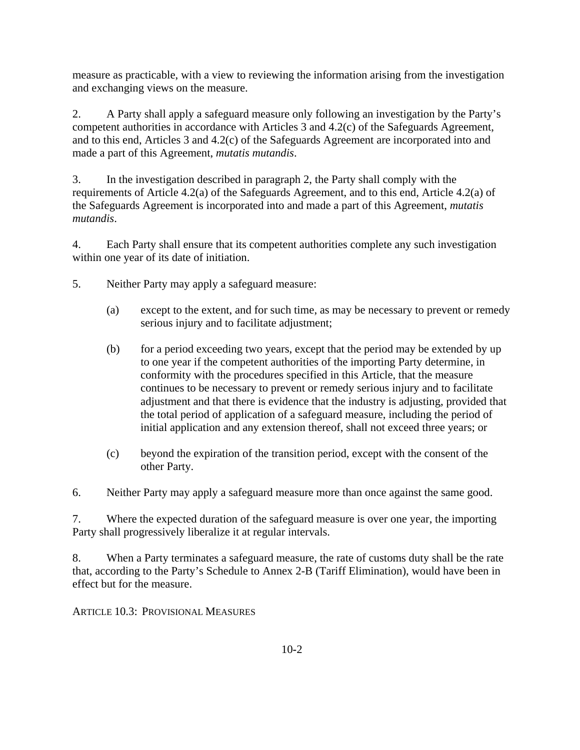measure as practicable, with a view to reviewing the information arising from the investigation and exchanging views on the measure.

2. A Party shall apply a safeguard measure only following an investigation by the Party's competent authorities in accordance with Articles 3 and 4.2(c) of the Safeguards Agreement, and to this end, Articles 3 and 4.2(c) of the Safeguards Agreement are incorporated into and made a part of this Agreement, *mutatis mutandis*.

3. In the investigation described in paragraph 2, the Party shall comply with the requirements of Article 4.2(a) of the Safeguards Agreement, and to this end, Article 4.2(a) of the Safeguards Agreement is incorporated into and made a part of this Agreement, *mutatis mutandis*.

4. Each Party shall ensure that its competent authorities complete any such investigation within one year of its date of initiation.

- 5. Neither Party may apply a safeguard measure:
	- (a) except to the extent, and for such time, as may be necessary to prevent or remedy serious injury and to facilitate adjustment;
	- (b) for a period exceeding two years, except that the period may be extended by up to one year if the competent authorities of the importing Party determine, in conformity with the procedures specified in this Article, that the measure continues to be necessary to prevent or remedy serious injury and to facilitate adjustment and that there is evidence that the industry is adjusting, provided that the total period of application of a safeguard measure, including the period of initial application and any extension thereof, shall not exceed three years; or
	- (c) beyond the expiration of the transition period, except with the consent of the other Party.

6. Neither Party may apply a safeguard measure more than once against the same good.

7. Where the expected duration of the safeguard measure is over one year, the importing Party shall progressively liberalize it at regular intervals.

8. When a Party terminates a safeguard measure, the rate of customs duty shall be the rate that, according to the Party's Schedule to Annex 2-B (Tariff Elimination), would have been in effect but for the measure.

ARTICLE 10.3: PROVISIONAL MEASURES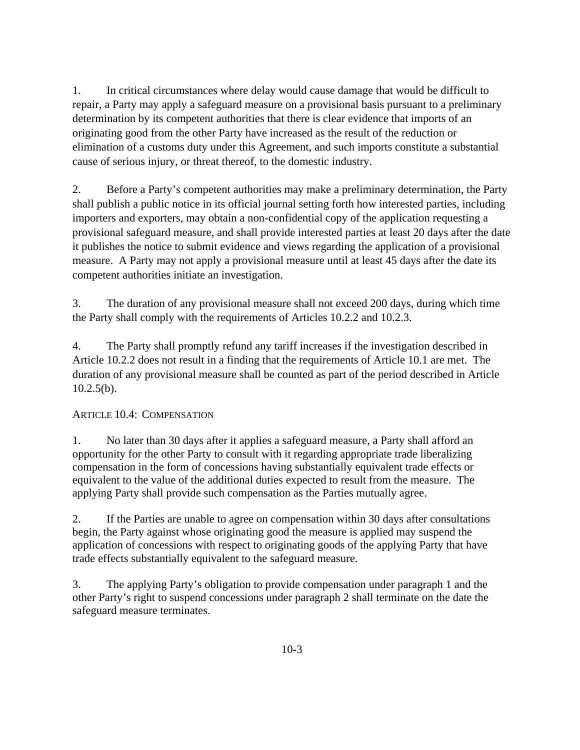1. In critical circumstances where delay would cause damage that would be difficult to repair, a Party may apply a safeguard measure on a provisional basis pursuant to a preliminary determination by its competent authorities that there is clear evidence that imports of an originating good from the other Party have increased as the result of the reduction or elimination of a customs duty under this Agreement, and such imports constitute a substantial cause of serious injury, or threat thereof, to the domestic industry.

2. Before a Party's competent authorities may make a preliminary determination, the Party shall publish a public notice in its official journal setting forth how interested parties, including importers and exporters, may obtain a non-confidential copy of the application requesting a provisional safeguard measure, and shall provide interested parties at least 20 days after the date it publishes the notice to submit evidence and views regarding the application of a provisional measure. A Party may not apply a provisional measure until at least 45 days after the date its competent authorities initiate an investigation.

3. The duration of any provisional measure shall not exceed 200 days, during which time the Party shall comply with the requirements of Articles 10.2.2 and 10.2.3.

4. The Party shall promptly refund any tariff increases if the investigation described in Article 10.2.2 does not result in a finding that the requirements of Article 10.1 are met. The duration of any provisional measure shall be counted as part of the period described in Article  $10.2.5(b)$ .

# ARTICLE 10.4: COMPENSATION

1. No later than 30 days after it applies a safeguard measure, a Party shall afford an opportunity for the other Party to consult with it regarding appropriate trade liberalizing compensation in the form of concessions having substantially equivalent trade effects or equivalent to the value of the additional duties expected to result from the measure. The applying Party shall provide such compensation as the Parties mutually agree.

2. If the Parties are unable to agree on compensation within 30 days after consultations begin, the Party against whose originating good the measure is applied may suspend the application of concessions with respect to originating goods of the applying Party that have trade effects substantially equivalent to the safeguard measure.

3. The applying Party's obligation to provide compensation under paragraph 1 and the other Party's right to suspend concessions under paragraph 2 shall terminate on the date the safeguard measure terminates.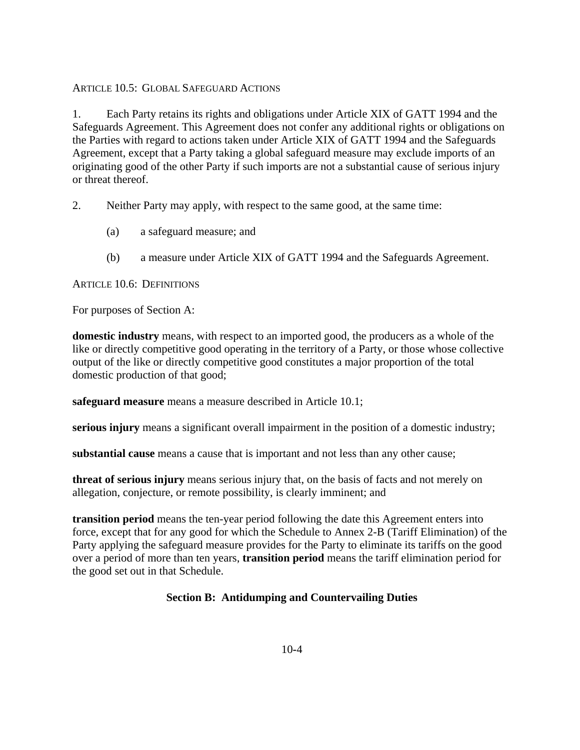# ARTICLE 10.5: GLOBAL SAFEGUARD ACTIONS

1. Each Party retains its rights and obligations under Article XIX of GATT 1994 and the Safeguards Agreement. This Agreement does not confer any additional rights or obligations on the Parties with regard to actions taken under Article XIX of GATT 1994 and the Safeguards Agreement, except that a Party taking a global safeguard measure may exclude imports of an originating good of the other Party if such imports are not a substantial cause of serious injury or threat thereof.

- 2. Neither Party may apply, with respect to the same good, at the same time:
	- (a) a safeguard measure; and
	- (b) a measure under Article XIX of GATT 1994 and the Safeguards Agreement.

### ARTICLE 10.6: DEFINITIONS

For purposes of Section A:

**domestic industry** means, with respect to an imported good, the producers as a whole of the like or directly competitive good operating in the territory of a Party, or those whose collective output of the like or directly competitive good constitutes a major proportion of the total domestic production of that good;

**safeguard measure** means a measure described in Article 10.1;

**serious injury** means a significant overall impairment in the position of a domestic industry;

**substantial cause** means a cause that is important and not less than any other cause;

**threat of serious injury** means serious injury that, on the basis of facts and not merely on allegation, conjecture, or remote possibility, is clearly imminent; and

**transition period** means the ten-year period following the date this Agreement enters into force, except that for any good for which the Schedule to Annex 2-B (Tariff Elimination) of the Party applying the safeguard measure provides for the Party to eliminate its tariffs on the good over a period of more than ten years, **transition period** means the tariff elimination period for the good set out in that Schedule.

### **Section B: Antidumping and Countervailing Duties**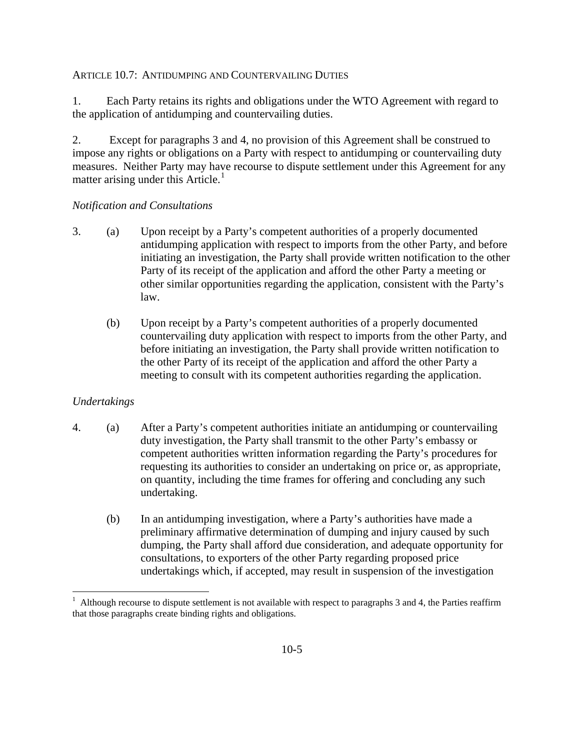### ARTICLE 10.7: ANTIDUMPING AND COUNTERVAILING DUTIES

1. Each Party retains its rights and obligations under the WTO Agreement with regard to the application of antidumping and countervailing duties.

2. Except for paragraphs 3 and 4, no provision of this Agreement shall be construed to impose any rights or obligations on a Party with respect to antidumping or countervailing duty measures. Neither Party may have recourse to dispute settlement under this Agreement for any matter arising under this Article.<sup>[1](#page-4-0)</sup>

### *Notification and Consultations*

- 3. (a) Upon receipt by a Party's competent authorities of a properly documented antidumping application with respect to imports from the other Party, and before initiating an investigation, the Party shall provide written notification to the other Party of its receipt of the application and afford the other Party a meeting or other similar opportunities regarding the application, consistent with the Party's law.
	- (b) Upon receipt by a Party's competent authorities of a properly documented countervailing duty application with respect to imports from the other Party, and before initiating an investigation, the Party shall provide written notification to the other Party of its receipt of the application and afford the other Party a meeting to consult with its competent authorities regarding the application.

# *Undertakings*

 $\overline{a}$ 

- 4. (a) After a Party's competent authorities initiate an antidumping or countervailing duty investigation, the Party shall transmit to the other Party's embassy or competent authorities written information regarding the Party's procedures for requesting its authorities to consider an undertaking on price or, as appropriate, on quantity, including the time frames for offering and concluding any such undertaking.
	- (b) In an antidumping investigation, where a Party's authorities have made a preliminary affirmative determination of dumping and injury caused by such dumping, the Party shall afford due consideration, and adequate opportunity for consultations, to exporters of the other Party regarding proposed price undertakings which, if accepted, may result in suspension of the investigation

<span id="page-4-0"></span><sup>1</sup> Although recourse to dispute settlement is not available with respect to paragraphs 3 and 4, the Parties reaffirm that those paragraphs create binding rights and obligations.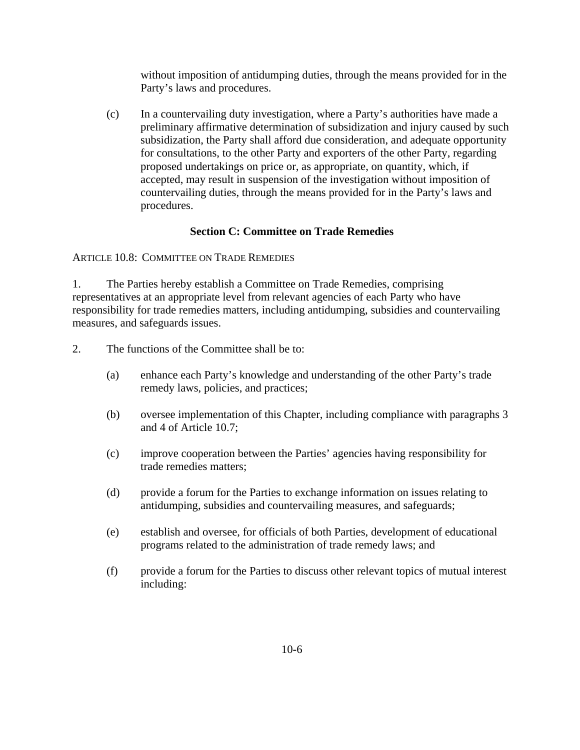without imposition of antidumping duties, through the means provided for in the Party's laws and procedures.

(c) In a countervailing duty investigation, where a Party's authorities have made a preliminary affirmative determination of subsidization and injury caused by such subsidization, the Party shall afford due consideration, and adequate opportunity for consultations, to the other Party and exporters of the other Party, regarding proposed undertakings on price or, as appropriate, on quantity, which, if accepted, may result in suspension of the investigation without imposition of countervailing duties, through the means provided for in the Party's laws and procedures.

# **Section C: Committee on Trade Remedies**

ARTICLE 10.8: COMMITTEE ON TRADE REMEDIES

1. The Parties hereby establish a Committee on Trade Remedies, comprising representatives at an appropriate level from relevant agencies of each Party who have responsibility for trade remedies matters, including antidumping, subsidies and countervailing measures, and safeguards issues.

2. The functions of the Committee shall be to:

- (a) enhance each Party's knowledge and understanding of the other Party's trade remedy laws, policies, and practices;
- (b) oversee implementation of this Chapter, including compliance with paragraphs 3 and 4 of Article 10.7;
- (c) improve cooperation between the Parties' agencies having responsibility for trade remedies matters;
- (d) provide a forum for the Parties to exchange information on issues relating to antidumping, subsidies and countervailing measures, and safeguards;
- (e) establish and oversee, for officials of both Parties, development of educational programs related to the administration of trade remedy laws; and
- (f) provide a forum for the Parties to discuss other relevant topics of mutual interest including: